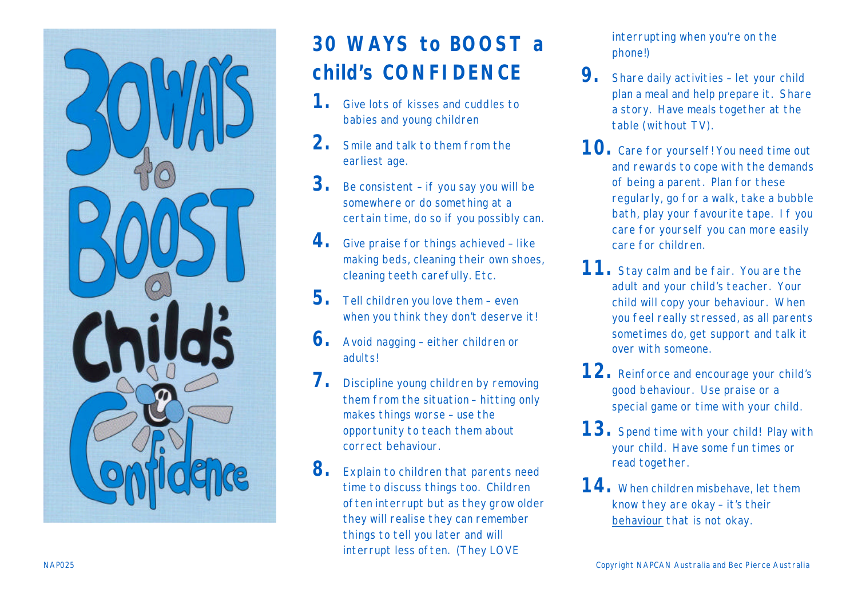

## **30 WAYS to BOOST a child's CONFIDENCE**

- **1.** Give lots of kisses and cuddles to babies and young children
- **2.** Smile and talk to them from the earliest age.
- **3.** Be consistent if you say you will be somewhere or do something at a certain time, do so if you possibly can.
- 4. Give praise for things achieved like making beds, cleaning their own shoes, cleaning teeth carefully. Etc.
- **5.** Tell children you love them even when you think they don't deserve it!
- **6.** Avoid nagging either children or adults!
- **7.** Discipline young children by removing them from the situation – hitting only makes things worse – use the opportunity to teach them about correct behaviour.
- 8. Explain to children that parents need time to discuss things too. Children often interrupt but as they grow older they will realise they can remember things to tell you later and will interrupt less often. (They LOVE

interrupting when you're on the phone!)

- 9. Share daily activities let your child plan a meal and help prepare it. Share a story. Have meals together at the table (without TV).
- 10. Care for yourself! You need time out and rewards to cope with the demands of being a parent. Plan for these regularly, go for a walk, take a bubble bath, play your favourite tape. If you care for yourself you can more easily care for children.
- 11. Stay calm and be fair. You are the adult and your child's teacher. Your child will copy your behaviour. When you feel really stressed, as all parents sometimes do, get support and talk it over with someone.
- 12. Reinforce and encourage your child's good behaviour. Use praise or a special game or time with your child.
- 13. Spend time with your child! Play with your child. Have some fun times or read together.
- **14.** When children misbehave, let them know they are okay – it's their behaviour that is not okay.